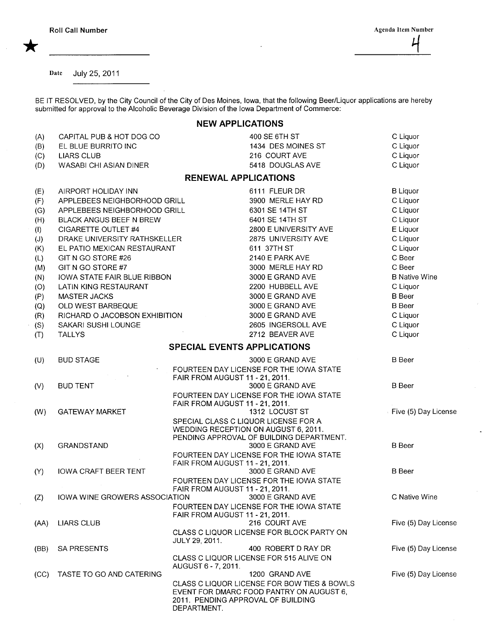Date July 25, 2011

BE IT RESOLVED, by the City Council of the City of Des Moines, Iowa, that the following Beer/Liquor applications are hereby submitted for approval to the Alcoholic Beverage Division of the Iowa Department of Commerce:

## NEW APPLICATIONS

| (A)<br>(B)<br>(C)<br>(D) | CAPITAL PUB & HOT DOG CO<br>EL BLUE BURRITO INC<br><b>LIARS CLUB</b><br>WASABI CHI ASIAN DINER |                                                                    | 400 SE 6TH ST<br>1434 DES MOINES ST<br>216 COURT AVE<br>5418 DOUGLAS AVE                                  | C Liquor<br>C Liquor<br>C Liquor<br>C Liquor |
|--------------------------|------------------------------------------------------------------------------------------------|--------------------------------------------------------------------|-----------------------------------------------------------------------------------------------------------|----------------------------------------------|
|                          |                                                                                                | <b>RENEWAL APPLICATIONS</b>                                        |                                                                                                           |                                              |
| (E)<br>(F)               | AIRPORT HOLIDAY INN<br>APPLEBEES NEIGHBORHOOD GRILL                                            |                                                                    | 6111 FLEUR DR<br>3900 MERLE HAY RD                                                                        | <b>B</b> Liquor<br>C Liquor                  |
| (G)<br>(H)<br>(1)        | APPLEBEES NEIGHBORHOOD GRILL<br><b>BLACK ANGUS BEEF N BREW</b><br>CIGARETTE OUTLET #4          |                                                                    | 6301 SE 14TH ST<br>6401 SE 14TH ST<br>2800 E UNIVERSITY AVE                                               | C Liquor<br>C Liquor<br>E Liquor             |
| (J)<br>(K)               | DRAKE UNIVERSITY RATHSKELLER<br>EL PATIO MEXICAN RESTAURANT                                    |                                                                    | 2875 UNIVERSITY AVE<br>611 37TH ST                                                                        | C Liquor<br>C Liquor                         |
| (L)<br>(M)<br>(N)        | GIT N GO STORE #26<br>GIT N GO STORE #7<br>IOWA STATE FAIR BLUE RIBBON                         |                                                                    | 2140 E PARK AVE<br>3000 MERLE HAY RD<br>3000 E GRAND AVE                                                  | C Beer<br>C Beer<br><b>B</b> Native Wine     |
| (O)<br>(P)               | LATIN KING RESTAURANT<br><b>MASTER JACKS</b><br>OLD WEST BARBEQUE                              |                                                                    | 2200 HUBBELL AVE<br>3000 E GRAND AVE<br>3000 E GRAND AVE                                                  | C Liquor<br><b>B</b> Beer<br><b>B</b> Beer   |
| (Q)<br>(R)<br>(S)        | RICHARD O JACOBSON EXHIBITION<br>SAKARI SUSHI LOUNGE                                           |                                                                    | 3000 E GRAND AVE<br>2605 INGERSOLL AVE<br>2712 BEAVER AVE                                                 | C Liquor<br>C Liquor                         |
| (T)                      | <b>TALLYS</b>                                                                                  | <b>SPECIAL EVENTS APPLICATIONS</b>                                 |                                                                                                           | C Liquor                                     |
| (U)                      | <b>BUD STAGE</b>                                                                               |                                                                    | 3000 E GRAND AVE<br>FOURTEEN DAY LICENSE FOR THE IOWA STATE                                               | <b>B</b> Beer                                |
| (V)                      | <b>BUD TENT</b>                                                                                | FAIR FROM AUGUST 11 - 21, 2011.                                    | 3000 E GRAND AVE<br>FOURTEEN DAY LICENSE FOR THE IOWA STATE                                               | <b>B</b> Beer                                |
| (W)                      | <b>GATEWAY MARKET</b>                                                                          | FAIR FROM AUGUST 11 - 21, 2011.                                    | 1312 LOCUST ST<br>SPECIAL CLASS C LIQUOR LICENSE FOR A<br>WEDDING RECEPTION ON AUGUST 6, 2011.            | Five (5) Day License                         |
| (X)                      | GRANDSTAND                                                                                     |                                                                    | PENDING APPROVAL OF BUILDING DEPARTMENT.<br>3000 E GRAND AVE<br>FOURTEEN DAY LICENSE FOR THE IOWA STATE   | <b>B</b> Beer                                |
| (Y)                      | <b>IOWA CRAFT BEER TENT</b>                                                                    | FAIR FROM AUGUST 11 - 21, 2011.<br>FAIR FROM AUGUST 11 - 21, 2011. | 3000 E GRAND AVE<br>FOURTEEN DAY LICENSE FOR THE IOWA STATE                                               | <b>B</b> Beer                                |
| (Z)                      | IOWA WINE GROWERS ASSOCIATION                                                                  | FAIR FROM AUGUST 11 - 21, 2011.                                    | 3000 E GRAND AVE<br>FOURTEEN DAY LICENSE FOR THE IOWA STATE                                               | C Native Wine                                |
| (AA)                     | <b>LIARS CLUB</b>                                                                              | <b>JULY 29, 2011.</b>                                              | 216 COURT AVE<br>CLASS C LIQUOR LICENSE FOR BLOCK PARTY ON                                                | Five (5) Day License                         |
| (BB)                     | <b>SA PRESENTS</b>                                                                             | AUGUST 6 - 7, 2011.                                                | 400 ROBERT D RAY DR<br>CLASS C LIQUOR LICENSE FOR 515 ALIVE ON                                            | Five (5) Day License                         |
| (CC)                     | TASTE TO GO AND CATERING                                                                       | 2011. PENDING APPROVAL OF BUILDING<br>DEPARTMENT.                  | 1200 GRAND AVE<br>CLASS C LIQUOR LICENSE FOR BOW TIES & BOWLS<br>EVENT FOR DMARC FOOD PANTRY ON AUGUST 6, | Five (5) Day License                         |